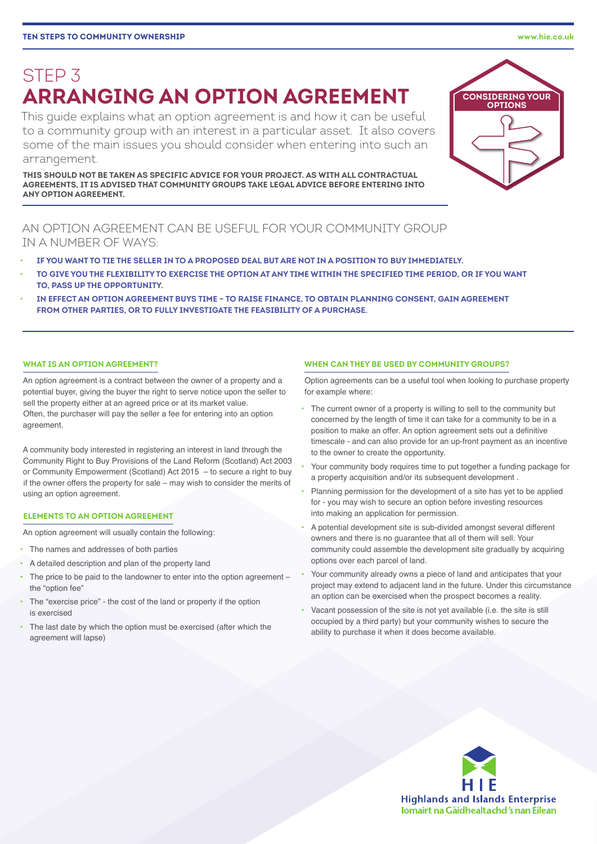# STEP 3 **ARRANGING AN OPTION AGREEMENT**

This guide explains what an option agreement is and how it can be useful to a community group with an interest in a particular asset. It also covers some of the main issues you should consider when entering into such an arrangement.

**THIS SHOULD NOT BE TAKEN AS SPECIFIC ADVICE FOR YOUR PROJECT. AS WITH ALL CONTRACTUAL AGREEMENTS, IT IS ADVISED THAT COMMUNITY GROUPS TAKE LEGAL ADVICE BEFORE ENTERING INTO ANY OPTION AGREEMENT.**

# AN OPTION AGREEMENT CAN BE USEFUL FOR YOUR COMMUNITY GROUP IN A NUMBER OF WAYS:

- **IF YOU WANT TO TIE THE SELLER IN TO A PROPOSED DEAL BUT ARE NOT IN A POSITION TO BUY IMMEDIATELY.**
- **TO GIVE YOU THE FLEXIBILITY TO EXERCISE THE OPTION AT ANY TIME WITHIN THE SPECIFIED TIME PERIOD, OR IF YOU WANT TO, PASS UP THE OPPORTUNITY.**
- **IN EFFECT AN OPTION AGREEMENT BUYS TIME TO RAISE FINANCE, TO OBTAIN PLANNING CONSENT, GAIN AGREEMENT FROM OTHER PARTIES, OR TO FULLY INVESTIGATE THE FEASIBILITY OF A PURCHASE.**

# **WHAT IS AN OPTION AGREEMENT?**

An option agreement is a contract between the owner of a property and a potential buyer, giving the buyer the right to serve notice upon the seller to sell the property either at an agreed price or at its market value. Often, the purchaser will pay the seller a fee for entering into an option agreement.

A community body interested in registering an interest in land through the Community Right to Buy Provisions of the Land Reform (Scotland) Act 2003 or Community Empowerment (Scotland) Act 2015 – to secure a right to buy if the owner offers the property for sale – may wish to consider the merits of using an option agreement.

# **ELEMENTS TO AN OPTION AGREEMENT**

An option agreement will usually contain the following:

- The names and addresses of both parties
- A detailed description and plan of the property land
- The price to be paid to the landowner to enter into the option agreement the "option fee"
- The "exercise price" the cost of the land or property if the option is exercised
- The last date by which the option must be exercised (after which the agreement will lapse)

#### **WHEN CAN THEY BE USED BY COMMUNITY GROUPS?**

Option agreements can be a useful tool when looking to purchase property for example where:

- The current owner of a property is willing to sell to the community but concerned by the length of time it can take for a community to be in a position to make an offer. An option agreement sets out a definitive timescale - and can also provide for an up-front payment as an incentive to the owner to create the opportunity.
- Your community body requires time to put together a funding package for a property acquisition and/or its subsequent development .
- Planning permission for the development of a site has yet to be applied for - you may wish to secure an option before investing resources into making an application for permission.
- A potential development site is sub-divided amongst several different owners and there is no guarantee that all of them will sell. Your community could assemble the development site gradually by acquiring options over each parcel of land.
- Your community already owns a piece of land and anticipates that your project may extend to adjacent land in the future. Under this circumstance an option can be exercised when the prospect becomes a reality.
- Vacant possession of the site is not yet available (i.e. the site is still occupied by a third party) but your community wishes to secure the ability to purchase it when it does become available.